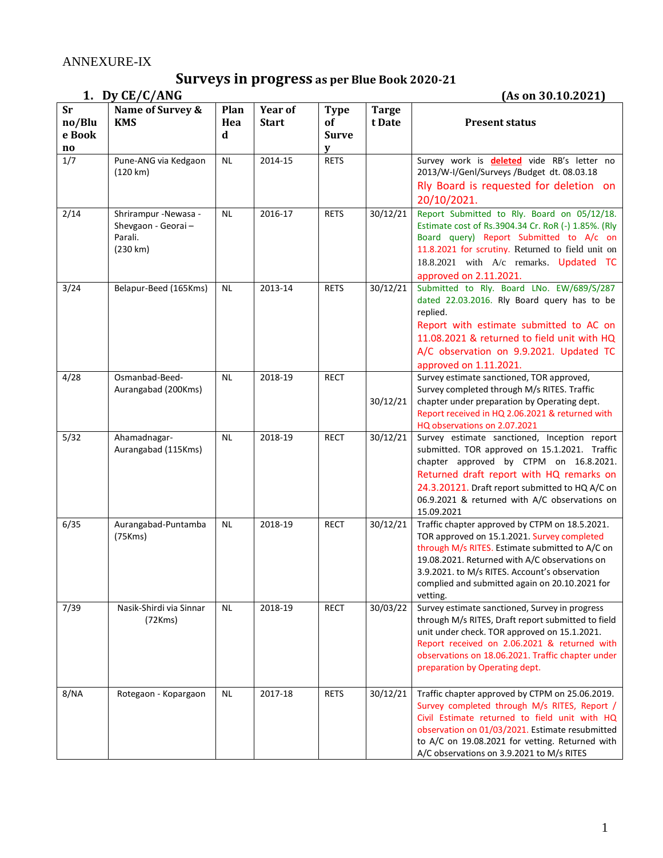# **Surveys in progress** as per Blue Book 2020-21<br>1. Dy CE/C/ANG

**1. Dy CE/C/ANG (As on 30.10.2021)** 

| <b>Sr</b><br>no/Blu<br>e Book<br>$\mathbf{no}$ | Name of Survey &<br><b>KMS</b>                                     | Plan<br>Hea<br>d | <b>Year of</b><br><b>Start</b> | <b>Type</b><br><b>of</b><br><b>Surve</b><br>V | <b>Targe</b><br>t Date | <b>Present status</b>                                                                                                                                                                                                                                                                                            |
|------------------------------------------------|--------------------------------------------------------------------|------------------|--------------------------------|-----------------------------------------------|------------------------|------------------------------------------------------------------------------------------------------------------------------------------------------------------------------------------------------------------------------------------------------------------------------------------------------------------|
| 1/7                                            | Pune-ANG via Kedgaon<br>(120 km)                                   | <b>NL</b>        | 2014-15                        | <b>RETS</b>                                   |                        | Survey work is <b>deleted</b> vide RB's letter no<br>2013/W-I/Genl/Surveys /Budget dt. 08.03.18<br>Rly Board is requested for deletion on<br>20/10/2021.                                                                                                                                                         |
| 2/14                                           | Shrirampur -Newasa -<br>Shevgaon - Georai -<br>Parali.<br>(230 km) | <b>NL</b>        | 2016-17                        | <b>RETS</b>                                   | 30/12/21               | Report Submitted to Rly. Board on 05/12/18.<br>Estimate cost of Rs.3904.34 Cr. RoR (-) 1.85%. (Rly<br>Board query) Report Submitted to A/c on<br>11.8.2021 for scrutiny. Returned to field unit on<br>18.8.2021 with A/c remarks. Updated TC<br>approved on 2.11.2021.                                           |
| 3/24                                           | Belapur-Beed (165Kms)                                              | <b>NL</b>        | 2013-14                        | <b>RETS</b>                                   | 30/12/21               | Submitted to Rly. Board LNo. EW/689/S/287<br>dated 22.03.2016. Rly Board query has to be<br>replied.<br>Report with estimate submitted to AC on<br>11.08.2021 & returned to field unit with HQ<br>A/C observation on 9.9.2021. Updated TC<br>approved on 1.11.2021.                                              |
| 4/28                                           | Osmanbad-Beed-<br>Aurangabad (200Kms)                              | <b>NL</b>        | 2018-19                        | <b>RECT</b>                                   | 30/12/21               | Survey estimate sanctioned, TOR approved,<br>Survey completed through M/s RITES. Traffic<br>chapter under preparation by Operating dept.<br>Report received in HQ 2.06.2021 & returned with<br>HQ observations on 2.07.2021                                                                                      |
| 5/32                                           | Ahamadnagar-<br>Aurangabad (115Kms)                                | <b>NL</b>        | 2018-19                        | <b>RECT</b>                                   | 30/12/21               | Survey estimate sanctioned, Inception report<br>submitted. TOR approved on 15.1.2021. Traffic<br>chapter approved by CTPM on 16.8.2021.<br>Returned draft report with HQ remarks on<br>24.3.20121. Draft report submitted to HQ A/C on<br>06.9.2021 & returned with A/C observations on<br>15.09.2021            |
| 6/35                                           | Aurangabad-Puntamba<br>(75Kms)                                     | <b>NL</b>        | 2018-19                        | <b>RECT</b>                                   | 30/12/21               | Traffic chapter approved by CTPM on 18.5.2021.<br>TOR approved on 15.1.2021. Survey completed<br>through M/s RITES. Estimate submitted to A/C on<br>19.08.2021. Returned with A/C observations on<br>3.9.2021. to M/s RITES. Account's observation<br>complied and submitted again on 20.10.2021 for<br>vetting. |
| 7/39                                           | Nasik-Shirdi via Sinnar<br>(72Kms)                                 | <b>NL</b>        | 2018-19                        | <b>RECT</b>                                   | 30/03/22               | Survey estimate sanctioned, Survey in progress<br>through M/s RITES, Draft report submitted to field<br>unit under check. TOR approved on 15.1.2021.<br>Report received on 2.06.2021 & returned with<br>observations on 18.06.2021. Traffic chapter under<br>preparation by Operating dept.                      |
| 8/NA                                           | Rotegaon - Kopargaon                                               | <b>NL</b>        | 2017-18                        | <b>RETS</b>                                   | 30/12/21               | Traffic chapter approved by CTPM on 25.06.2019.<br>Survey completed through M/s RITES, Report /<br>Civil Estimate returned to field unit with HQ<br>observation on 01/03/2021. Estimate resubmitted<br>to A/C on 19.08.2021 for vetting. Returned with<br>A/C observations on 3.9.2021 to M/s RITES              |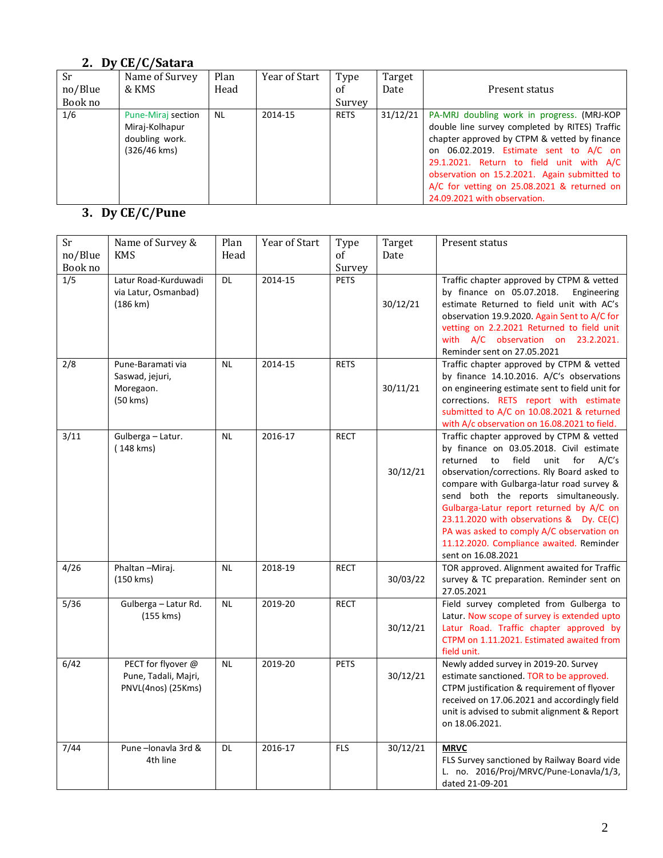### **2. Dy CE/C/Satara**

| Sr<br>no/Blue<br>Book no | Name of Survey<br>& KMS                                                | Plan<br>Head | Year of Start | Type<br>οf<br>Survey | Target<br>Date | Present status                                                                                                                                                                                                                                                                                                                                                      |
|--------------------------|------------------------------------------------------------------------|--------------|---------------|----------------------|----------------|---------------------------------------------------------------------------------------------------------------------------------------------------------------------------------------------------------------------------------------------------------------------------------------------------------------------------------------------------------------------|
| 1/6                      | Pune-Miraj section<br>Miraj-Kolhapur<br>doubling work.<br>(326/46 kms) | <b>NL</b>    | 2014-15       | <b>RETS</b>          | 31/12/21       | PA-MRJ doubling work in progress. (MRJ-KOP<br>double line survey completed by RITES) Traffic<br>chapter approved by CTPM & vetted by finance<br>on 06.02.2019. Estimate sent to A/C on<br>29.1.2021. Return to field unit with A/C<br>observation on 15.2.2021. Again submitted to  <br>A/C for vetting on 25.08.2021 & returned on<br>24.09.2021 with observation. |

# **3. Dy CE/C/Pune**

| Sr             | Name of Survey &               | Plan      | Year of Start | Type           | Target   | Present status                                                                            |
|----------------|--------------------------------|-----------|---------------|----------------|----------|-------------------------------------------------------------------------------------------|
| no/Blue        | <b>KMS</b>                     | Head      |               | of             | Date     |                                                                                           |
| Book no<br>1/5 | Latur Road-Kurduwadi           | DL        | 2014-15       | Survey<br>PETS |          | Traffic chapter approved by CTPM & vetted                                                 |
|                | via Latur, Osmanbad)           |           |               |                |          | by finance on 05.07.2018.<br>Engineering                                                  |
|                | $(186 \text{ km})$             |           |               |                | 30/12/21 | estimate Returned to field unit with AC's                                                 |
|                |                                |           |               |                |          | observation 19.9.2020. Again Sent to A/C for                                              |
|                |                                |           |               |                |          | vetting on 2.2.2021 Returned to field unit                                                |
|                |                                |           |               |                |          | with A/C observation on 23.2.2021.                                                        |
|                |                                |           |               |                |          | Reminder sent on 27.05.2021                                                               |
| 2/8            | Pune-Baramati via              | <b>NL</b> | 2014-15       | <b>RETS</b>    |          | Traffic chapter approved by CTPM & vetted                                                 |
|                | Saswad, jejuri,                |           |               |                |          | by finance 14.10.2016. A/C's observations                                                 |
|                | Moregaon.                      |           |               |                | 30/11/21 | on engineering estimate sent to field unit for                                            |
|                | (50 kms)                       |           |               |                |          | corrections. RETS report with estimate                                                    |
|                |                                |           |               |                |          | submitted to A/C on 10.08.2021 & returned                                                 |
|                |                                | <b>NL</b> | 2016-17       | <b>RECT</b>    |          | with A/c observation on 16.08.2021 to field.<br>Traffic chapter approved by CTPM & vetted |
| 3/11           | Gulberga - Latur.<br>(148 kms) |           |               |                |          | by finance on 03.05.2018. Civil estimate                                                  |
|                |                                |           |               |                |          | returned<br>field<br>unit<br>for<br>A/C's<br>to                                           |
|                |                                |           |               |                | 30/12/21 | observation/corrections. Rly Board asked to                                               |
|                |                                |           |               |                |          | compare with Gulbarga-latur road survey &                                                 |
|                |                                |           |               |                |          | send both the reports simultaneously.                                                     |
|                |                                |           |               |                |          | Gulbarga-Latur report returned by A/C on                                                  |
|                |                                |           |               |                |          | 23.11.2020 with observations & Dy. CE(C)                                                  |
|                |                                |           |               |                |          | PA was asked to comply A/C observation on                                                 |
|                |                                |           |               |                |          | 11.12.2020. Compliance awaited. Reminder                                                  |
|                |                                |           |               |                |          | sent on 16.08.2021                                                                        |
| 4/26           | Phaltan-Miraj.                 | <b>NL</b> | 2018-19       | <b>RECT</b>    |          | TOR approved. Alignment awaited for Traffic<br>survey & TC preparation. Reminder sent on  |
|                | (150 kms)                      |           |               |                | 30/03/22 | 27.05.2021                                                                                |
| 5/36           | Gulberga - Latur Rd.           | <b>NL</b> | 2019-20       | <b>RECT</b>    |          | Field survey completed from Gulberga to                                                   |
|                | (155 kms)                      |           |               |                |          | Latur. Now scope of survey is extended upto                                               |
|                |                                |           |               |                | 30/12/21 | Latur Road. Traffic chapter approved by                                                   |
|                |                                |           |               |                |          | CTPM on 1.11.2021. Estimated awaited from                                                 |
|                |                                |           |               |                |          | field unit.                                                                               |
| 6/42           | PECT for flyover @             | <b>NL</b> | 2019-20       | <b>PETS</b>    |          | Newly added survey in 2019-20. Survey                                                     |
|                | Pune, Tadali, Majri,           |           |               |                | 30/12/21 | estimate sanctioned. TOR to be approved.                                                  |
|                | PNVL(4nos) (25Kms)             |           |               |                |          | CTPM justification & requirement of flyover                                               |
|                |                                |           |               |                |          | received on 17.06.2021 and accordingly field                                              |
|                |                                |           |               |                |          | unit is advised to submit alignment & Report                                              |
|                |                                |           |               |                |          | on 18.06.2021.                                                                            |
| 7/44           | Pune-lonavla 3rd &             | <b>DL</b> | 2016-17       | <b>FLS</b>     | 30/12/21 | <b>MRVC</b>                                                                               |
|                | 4th line                       |           |               |                |          | FLS Survey sanctioned by Railway Board vide                                               |
|                |                                |           |               |                |          | L. no. 2016/Proj/MRVC/Pune-Lonavla/1/3,                                                   |
|                |                                |           |               |                |          | dated 21-09-201                                                                           |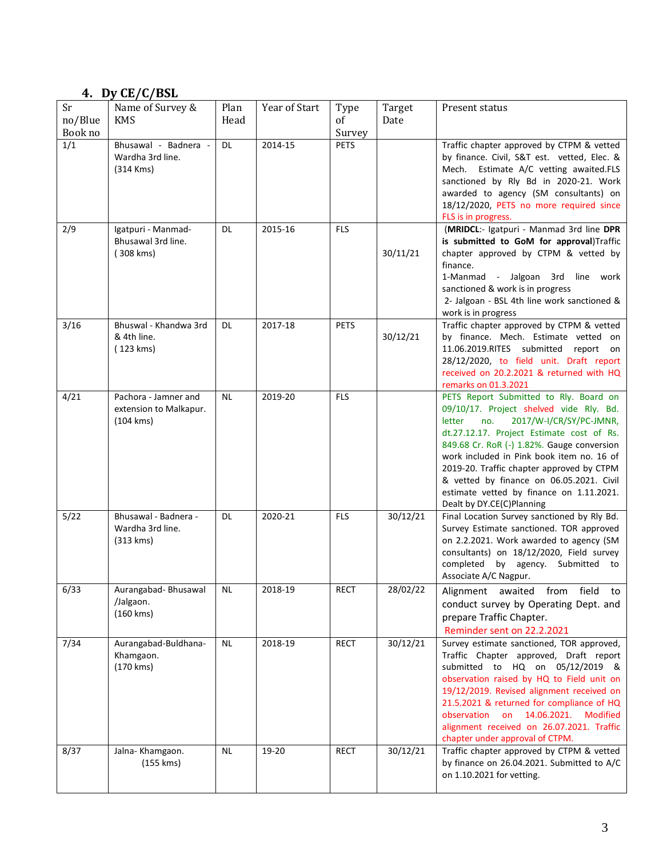### **4. Dy CE/C/BSL**

| Sr<br>no/Blue<br>Book no | Name of Survey &<br><b>KMS</b>                                       | Plan<br>Head | Year of Start | Type<br>of<br>Survey | Target<br>Date | Present status                                                                                                                                                                                                                                                                                                                                                                                                                          |
|--------------------------|----------------------------------------------------------------------|--------------|---------------|----------------------|----------------|-----------------------------------------------------------------------------------------------------------------------------------------------------------------------------------------------------------------------------------------------------------------------------------------------------------------------------------------------------------------------------------------------------------------------------------------|
| 1/1                      | Bhusawal - Badnera -<br>Wardha 3rd line.<br>$(314$ Kms)              | <b>DL</b>    | 2014-15       | <b>PETS</b>          |                | Traffic chapter approved by CTPM & vetted<br>by finance. Civil, S&T est. vetted, Elec. &<br>Mech. Estimate A/C vetting awaited.FLS<br>sanctioned by Rly Bd in 2020-21. Work<br>awarded to agency (SM consultants) on<br>18/12/2020, PETS no more required since<br>FLS is in progress.                                                                                                                                                  |
| 2/9                      | Igatpuri - Manmad-<br>Bhusawal 3rd line.<br>(308 kms)                | DL.          | 2015-16       | <b>FLS</b>           | 30/11/21       | (MRIDCL:- Igatpuri - Manmad 3rd line DPR<br>is submitted to GoM for approval)Traffic<br>chapter approved by CTPM & vetted by<br>finance.<br>1-Manmad - Jalgoan 3rd line work<br>sanctioned & work is in progress<br>2- Jalgoan - BSL 4th line work sanctioned &<br>work is in progress                                                                                                                                                  |
| 3/16                     | Bhuswal - Khandwa 3rd<br>& 4th line.<br>(123 kms)                    | DL.          | 2017-18       | <b>PETS</b>          | 30/12/21       | Traffic chapter approved by CTPM & vetted<br>by finance. Mech. Estimate vetted on<br>11.06.2019.RITES submitted<br>report on<br>28/12/2020, to field unit. Draft report<br>received on 20.2.2021 & returned with HQ<br>remarks on 01.3.2021                                                                                                                                                                                             |
| 4/21                     | Pachora - Jamner and<br>extension to Malkapur.<br>$(104 \text{ km})$ | <b>NL</b>    | 2019-20       | <b>FLS</b>           |                | PETS Report Submitted to Rly. Board on<br>09/10/17. Project shelved vide Rly. Bd.<br>2017/W-I/CR/SY/PC-JMNR,<br>letter<br>no.<br>dt.27.12.17. Project Estimate cost of Rs.<br>849.68 Cr. RoR (-) 1.82%. Gauge conversion<br>work included in Pink book item no. 16 of<br>2019-20. Traffic chapter approved by CTPM<br>& vetted by finance on 06.05.2021. Civil<br>estimate vetted by finance on 1.11.2021.<br>Dealt by DY.CE(C)Planning |
| 5/22                     | Bhusawal - Badnera -<br>Wardha 3rd line.<br>(313 km s)               | DL.          | 2020-21       | <b>FLS</b>           | 30/12/21       | Final Location Survey sanctioned by Rly Bd.<br>Survey Estimate sanctioned. TOR approved<br>on 2.2.2021. Work awarded to agency (SM<br>consultants) on 18/12/2020, Field survey<br>completed by agency.<br>Submitted to<br>Associate A/C Nagpur.                                                                                                                                                                                         |
| 6/33                     | Aurangabad-Bhusawal<br>/Jalgaon.<br>(160 kms)                        | NL           | 2018-19       | <b>RECT</b>          | 28/02/22       | Alignment awaited from field to<br>conduct survey by Operating Dept. and<br>prepare Traffic Chapter.<br>Reminder sent on 22.2.2021                                                                                                                                                                                                                                                                                                      |
| 7/34                     | Aurangabad-Buldhana-<br>Khamgaon.<br>(170 kms)                       | <b>NL</b>    | 2018-19       | <b>RECT</b>          | 30/12/21       | Survey estimate sanctioned, TOR approved,<br>Traffic Chapter approved, Draft report<br>submitted to HQ on 05/12/2019 &<br>observation raised by HQ to Field unit on<br>19/12/2019. Revised alignment received on<br>21.5.2021 & returned for compliance of HQ<br>observation<br>on 14.06.2021.<br>Modified<br>alignment received on 26.07.2021. Traffic<br>chapter under approval of CTPM.                                              |
| 8/37                     | Jalna-Khamgaon.<br>(155 kms)                                         | <b>NL</b>    | 19-20         | <b>RECT</b>          | 30/12/21       | Traffic chapter approved by CTPM & vetted<br>by finance on 26.04.2021. Submitted to A/C<br>on 1.10.2021 for vetting.                                                                                                                                                                                                                                                                                                                    |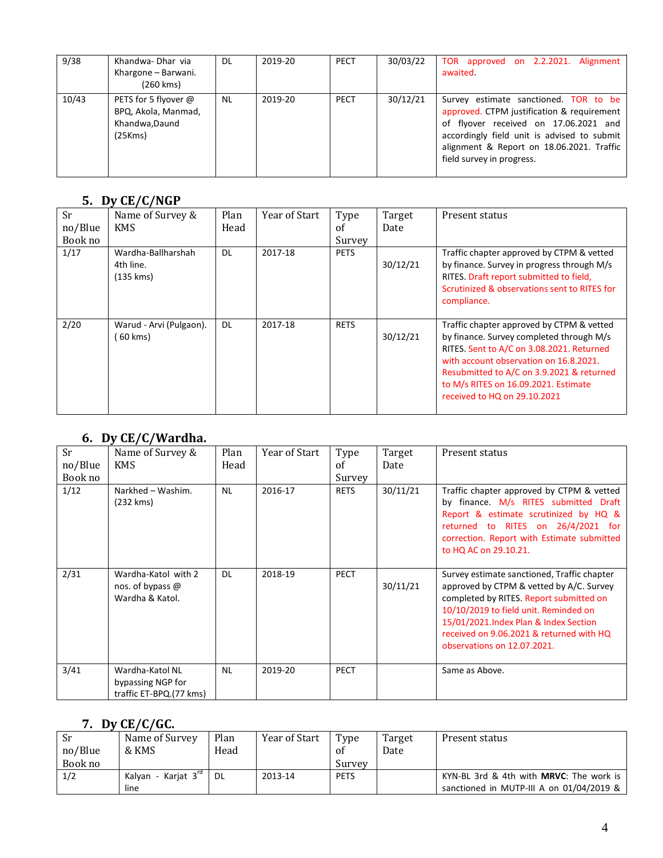| 9/38  | Khandwa-Dhar via<br>Khargone - Barwani.<br>(260 kms)                     | DL        | 2019-20 | PECT        | 30/03/22 | TOR approved on 2.2.2021. Alignment<br>awaited.                                                                                                                                                                                                       |
|-------|--------------------------------------------------------------------------|-----------|---------|-------------|----------|-------------------------------------------------------------------------------------------------------------------------------------------------------------------------------------------------------------------------------------------------------|
| 10/43 | PETS for 5 flyover @<br>BPQ, Akola, Manmad,<br>Khandwa, Daund<br>(25Kms) | <b>NL</b> | 2019-20 | <b>PECT</b> | 30/12/21 | Survey estimate sanctioned. TOR to be<br>approved. CTPM justification & requirement<br>of flyover received on 17.06.2021 and<br>accordingly field unit is advised to submit<br>alignment & Report on 18.06.2021. Traffic<br>field survey in progress. |

#### **5. Dy CE/C/NGP**

| Sr<br>no/Blue | Name of Survey &<br><b>KMS</b>                | Plan<br>Head | Year of Start | Type<br>of  | Target<br>Date | Present status                                                                                                                                                                                                                                                                                    |
|---------------|-----------------------------------------------|--------------|---------------|-------------|----------------|---------------------------------------------------------------------------------------------------------------------------------------------------------------------------------------------------------------------------------------------------------------------------------------------------|
| Book no       |                                               |              |               | Survey      |                |                                                                                                                                                                                                                                                                                                   |
| 1/17          | Wardha-Ballharshah<br>4th line.<br>(135 km s) | <b>DL</b>    | 2017-18       | <b>PETS</b> | 30/12/21       | Traffic chapter approved by CTPM & vetted<br>by finance. Survey in progress through M/s<br>RITES. Draft report submitted to field,<br>Scrutinized & observations sent to RITES for<br>compliance.                                                                                                 |
| 2/20          | Warud - Arvi (Pulgaon).<br>60 kms)            | <b>DL</b>    | 2017-18       | <b>RETS</b> | 30/12/21       | Traffic chapter approved by CTPM & vetted<br>by finance. Survey completed through M/s<br>RITES. Sent to A/C on 3.08.2021. Returned<br>with account observation on 16.8.2021.<br>Resubmitted to A/C on 3.9.2021 & returned<br>to M/s RITES on 16.09.2021. Estimate<br>received to HQ on 29.10.2021 |

#### **6. Dy CE/C/Wardha.**

| <b>Sr</b><br>no/Blue<br>Book no | Name of Survey &<br><b>KMS</b>                                  | Plan<br>Head | Year of Start | Type<br>of<br>Survey | Target<br>Date | Present status                                                                                                                                                                                                                                                                                  |
|---------------------------------|-----------------------------------------------------------------|--------------|---------------|----------------------|----------------|-------------------------------------------------------------------------------------------------------------------------------------------------------------------------------------------------------------------------------------------------------------------------------------------------|
| 1/12                            | Narkhed - Washim.<br>(232 kms)                                  | <b>NL</b>    | 2016-17       | <b>RETS</b>          | 30/11/21       | Traffic chapter approved by CTPM & vetted<br>by finance. M/s RITES submitted Draft<br>Report & estimate scrutinized by HQ &<br>returned to RITES on 26/4/2021 for<br>correction. Report with Estimate submitted<br>to HQ AC on 29.10.21.                                                        |
| 2/31                            | Wardha-Katol with 2<br>nos. of bypass @<br>Wardha & Katol.      | <b>DL</b>    | 2018-19       | <b>PECT</b>          | 30/11/21       | Survey estimate sanctioned, Traffic chapter<br>approved by CTPM & vetted by A/C. Survey<br>completed by RITES. Report submitted on<br>10/10/2019 to field unit. Reminded on<br>15/01/2021.Index Plan & Index Section<br>received on 9.06.2021 & returned with HQ<br>observations on 12.07.2021. |
| 3/41                            | Wardha-Katol NL<br>bypassing NGP for<br>traffic ET-BPQ.(77 kms) | <b>NL</b>    | 2019-20       | <b>PECT</b>          |                | Same as Above.                                                                                                                                                                                                                                                                                  |

#### **7. Dy CE/C/GC.**

| Sr<br>no/Blue<br>Book no | Name of Survey<br>& KMS                 | Plan<br>Head | Year of Start | Type<br>οf<br>Survey | Target<br>Date | Present status                                                                        |
|--------------------------|-----------------------------------------|--------------|---------------|----------------------|----------------|---------------------------------------------------------------------------------------|
| 1/2                      | Kalvan - Kariat 3 <sup>'"</sup><br>line | DL           | 2013-14       | <b>PETS</b>          |                | KYN-BL 3rd & 4th with MRVC: The work is<br>sanctioned in MUTP-III A on $01/04/2019$ & |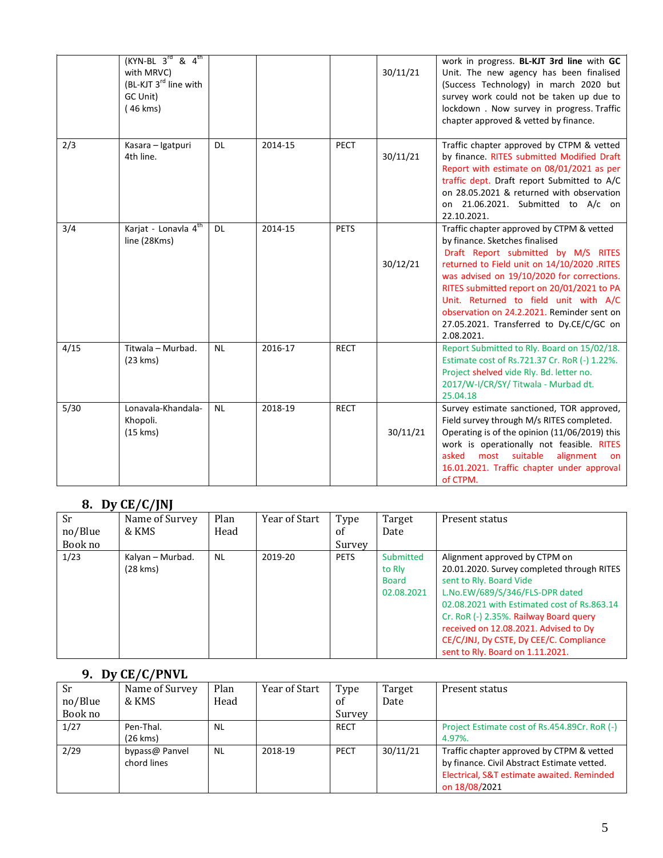|      | $(KYN-BL \t3^{rd} \t8 \t4^{th})$<br>with MRVC)<br>(BL-KJT 3 <sup>rd</sup> line with<br>GC Unit)<br>(46 kms) |           |         |             | 30/11/21 | work in progress. BL-KJT 3rd line with GC<br>Unit. The new agency has been finalised<br>(Success Technology) in march 2020 but<br>survey work could not be taken up due to<br>lockdown . Now survey in progress. Traffic<br>chapter approved & vetted by finance.                                                                                                                                              |
|------|-------------------------------------------------------------------------------------------------------------|-----------|---------|-------------|----------|----------------------------------------------------------------------------------------------------------------------------------------------------------------------------------------------------------------------------------------------------------------------------------------------------------------------------------------------------------------------------------------------------------------|
| 2/3  | Kasara - Igatpuri<br>4th line.                                                                              | <b>DL</b> | 2014-15 | <b>PECT</b> | 30/11/21 | Traffic chapter approved by CTPM & vetted<br>by finance. RITES submitted Modified Draft<br>Report with estimate on 08/01/2021 as per<br>traffic dept. Draft report Submitted to A/C<br>on 28.05.2021 & returned with observation<br>on 21.06.2021. Submitted to A/c on<br>22.10.2021.                                                                                                                          |
| 3/4  | Karjat - Lonavla 4 <sup>th</sup><br>line (28Kms)                                                            | <b>DL</b> | 2014-15 | <b>PETS</b> | 30/12/21 | Traffic chapter approved by CTPM & vetted<br>by finance. Sketches finalised<br>Draft Report submitted by M/S RITES<br>returned to Field unit on 14/10/2020 .RITES<br>was advised on 19/10/2020 for corrections.<br>RITES submitted report on 20/01/2021 to PA<br>Unit. Returned to field unit with A/C<br>observation on 24.2.2021. Reminder sent on<br>27.05.2021. Transferred to Dy.CE/C/GC on<br>2.08.2021. |
| 4/15 | Titwala - Murbad.<br>(23 km s)                                                                              | <b>NL</b> | 2016-17 | <b>RECT</b> |          | Report Submitted to Rly. Board on 15/02/18.<br>Estimate cost of Rs.721.37 Cr. RoR (-) 1.22%.<br>Project shelved vide Rly. Bd. letter no.<br>2017/W-I/CR/SY/Titwala - Murbad dt.<br>25.04.18                                                                                                                                                                                                                    |
| 5/30 | Lonavala-Khandala-<br>Khopoli.<br>$(15 \text{ km})$                                                         | <b>NL</b> | 2018-19 | <b>RECT</b> | 30/11/21 | Survey estimate sanctioned, TOR approved,<br>Field survey through M/s RITES completed.<br>Operating is of the opinion (11/06/2019) this<br>work is operationally not feasible. RITES<br>suitable<br>most<br>alignment<br>asked<br>on<br>16.01.2021. Traffic chapter under approval<br>of CTPM.                                                                                                                 |

### **8. Dy CE/C/JNJ**

|           | -------           |           |               |             |              |                                             |
|-----------|-------------------|-----------|---------------|-------------|--------------|---------------------------------------------|
| <b>Sr</b> | Name of Survey    | Plan      | Year of Start | Type        | Target       | Present status                              |
| no/Blue   | & KMS             | Head      |               | of          | Date         |                                             |
| Book no   |                   |           |               | Survey      |              |                                             |
| 1/23      | Kalyan – Murbad.  | <b>NL</b> | 2019-20       | <b>PETS</b> | Submitted    | Alignment approved by CTPM on               |
|           | $(28 \text{ km})$ |           |               |             | to Rly       | 20.01.2020. Survey completed through RITES  |
|           |                   |           |               |             | <b>Board</b> | sent to Rly. Board Vide                     |
|           |                   |           |               |             | 02.08.2021   | L.No.EW/689/S/346/FLS-DPR dated             |
|           |                   |           |               |             |              | 02.08.2021 with Estimated cost of Rs.863.14 |
|           |                   |           |               |             |              | Cr. RoR (-) 2.35%. Railway Board query      |
|           |                   |           |               |             |              | received on 12.08.2021. Advised to Dy       |
|           |                   |           |               |             |              | CE/C/JNJ, Dy CSTE, Dy CEE/C. Compliance     |
|           |                   |           |               |             |              | sent to Rly. Board on 1.11.2021.            |

#### **9. Dy CE/C/PNVL**

| Sr<br>no/Blue<br>Book no | Name of Survey<br>& KMS       | Plan<br>Head | Year of Start | Type<br>of<br>Survey | Target<br>Date | Present status                                                                                                                                          |
|--------------------------|-------------------------------|--------------|---------------|----------------------|----------------|---------------------------------------------------------------------------------------------------------------------------------------------------------|
| 1/27                     | Pen-Thal.                     | <b>NL</b>    |               | <b>RECT</b>          |                | Project Estimate cost of Rs.454.89Cr. RoR (-)                                                                                                           |
|                          | $(26 \text{ km})$             |              |               |                      |                | 4.97%.                                                                                                                                                  |
| 2/29                     | bypass@ Panvel<br>chord lines | <b>NL</b>    | 2018-19       | <b>PECT</b>          | 30/11/21       | Traffic chapter approved by CTPM & vetted<br>by finance. Civil Abstract Estimate vetted.<br>Electrical, S&T estimate awaited. Reminded<br>on 18/08/2021 |